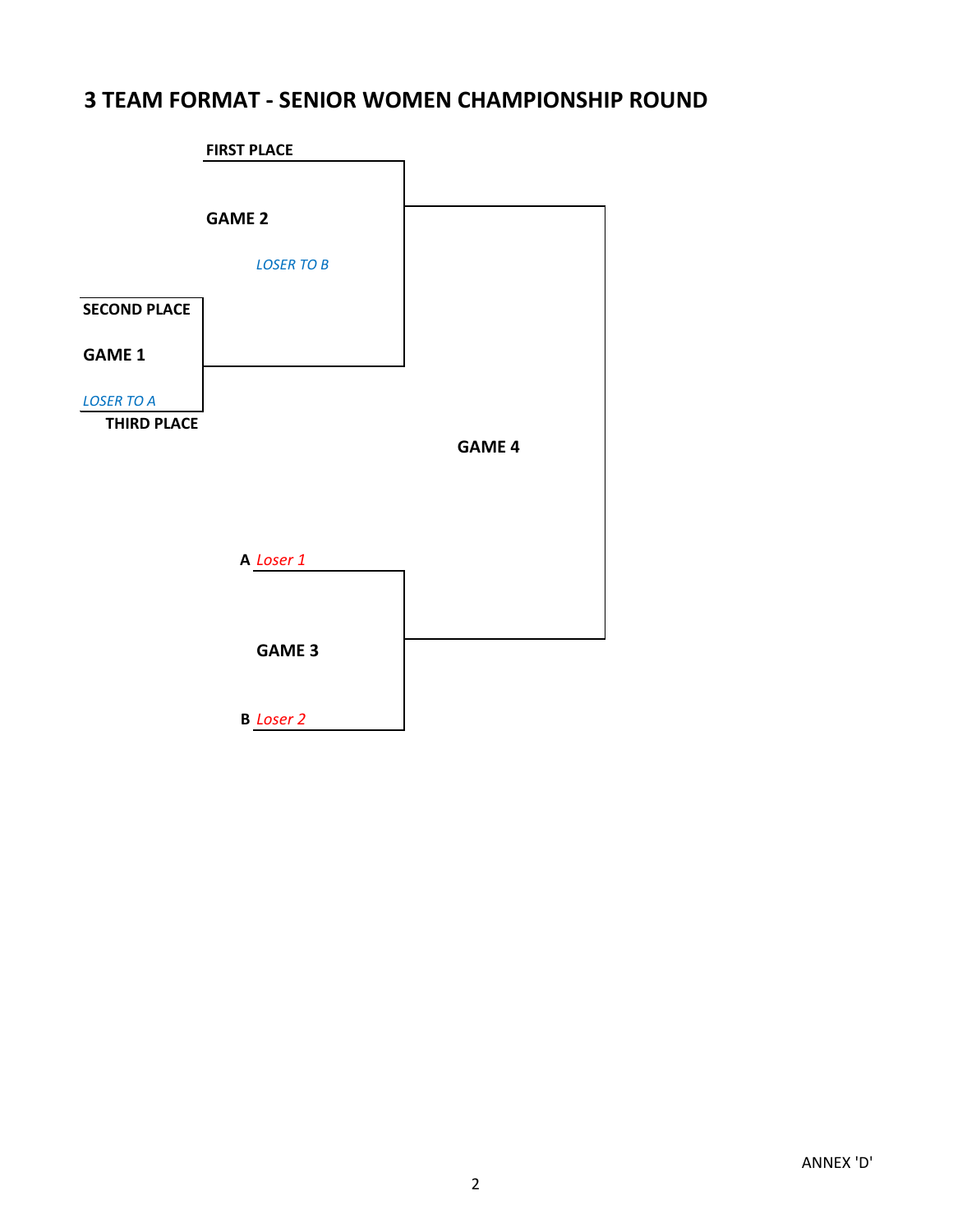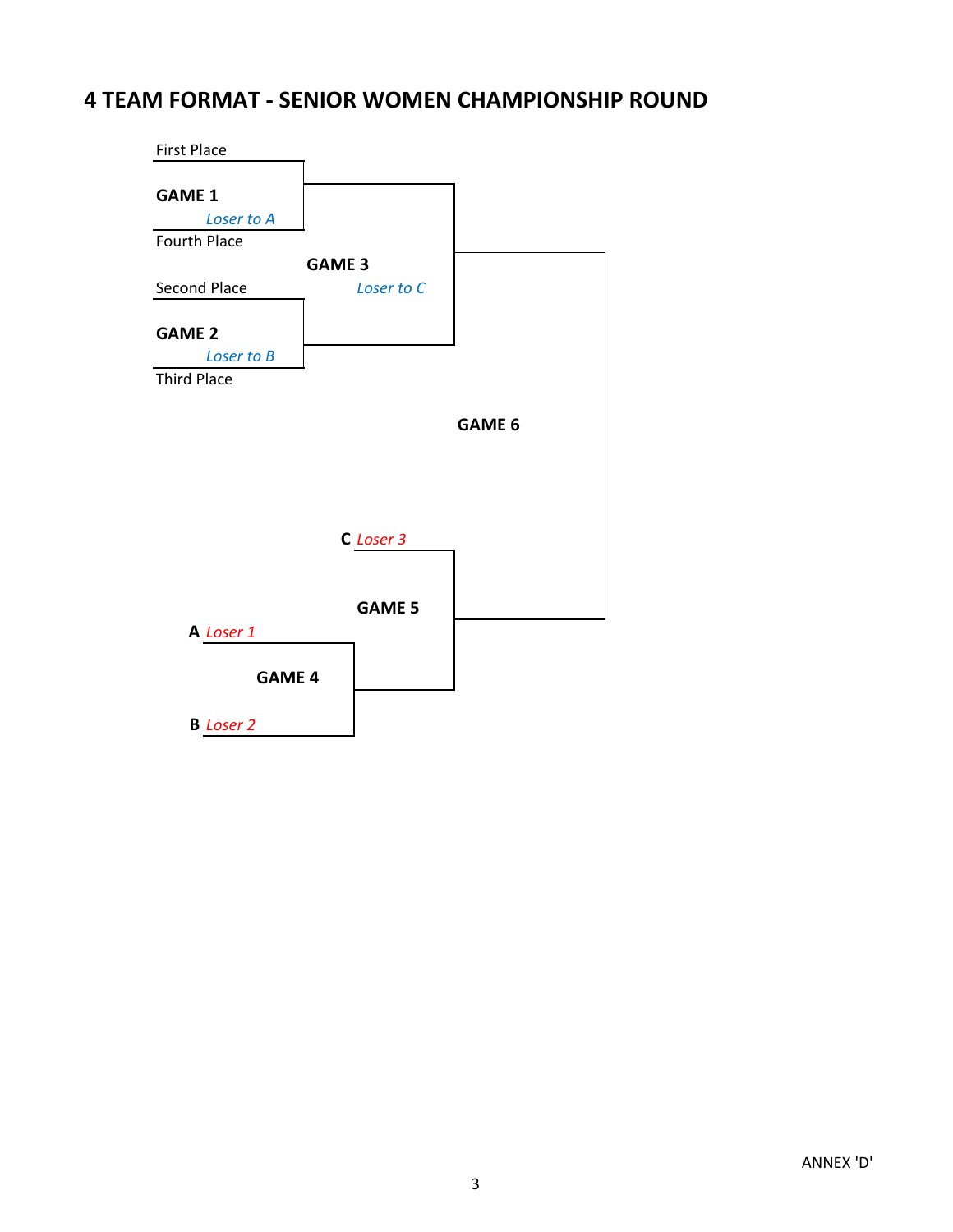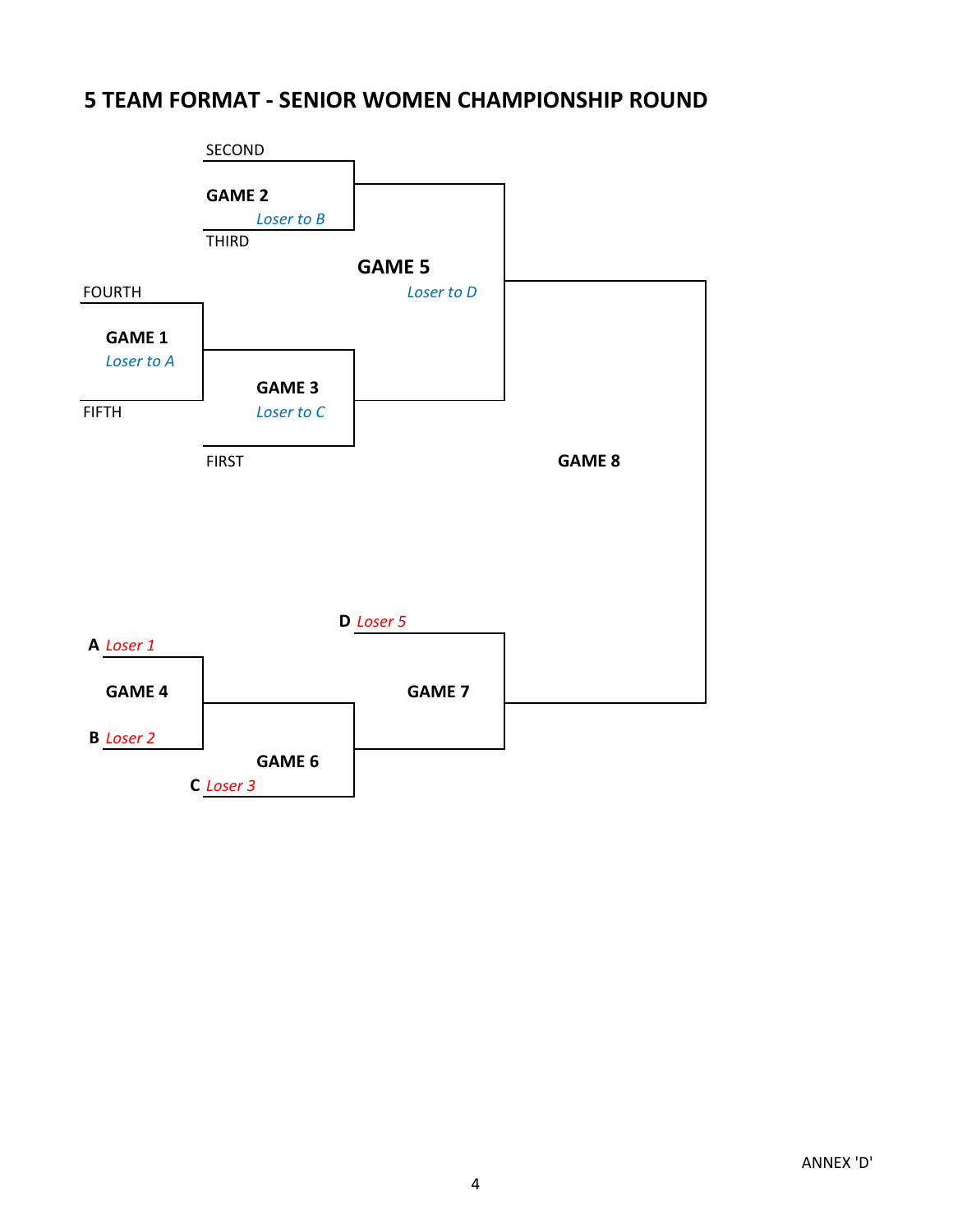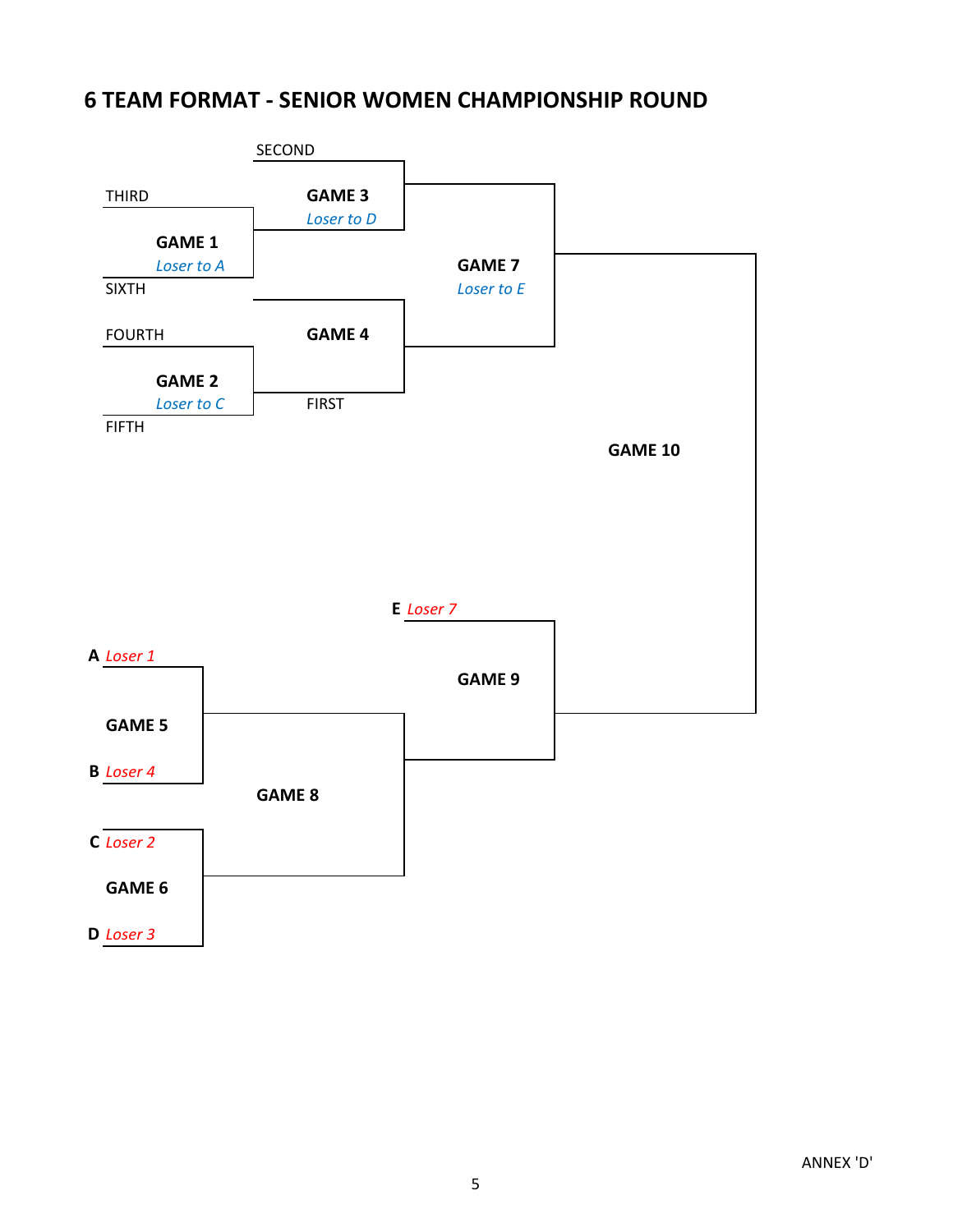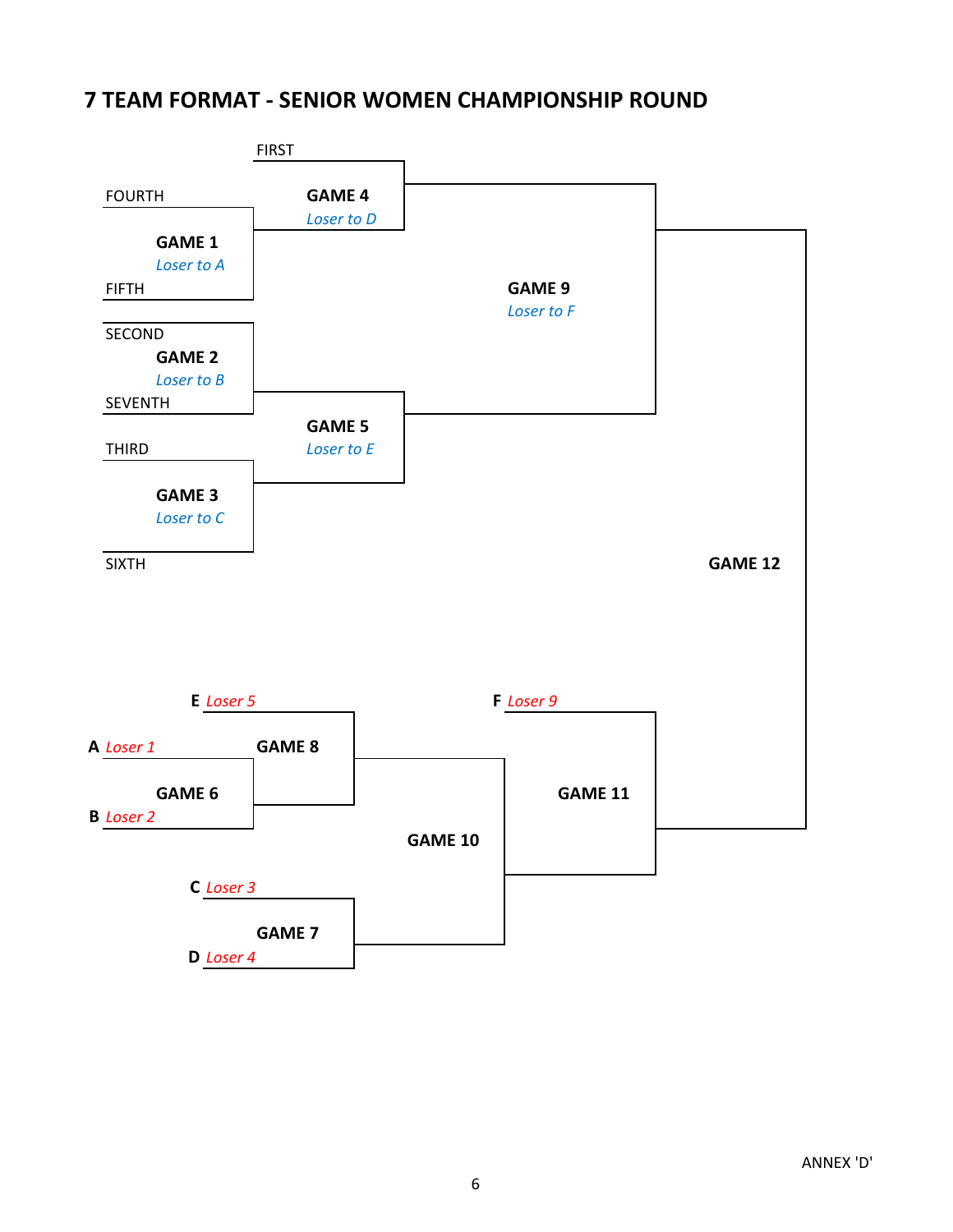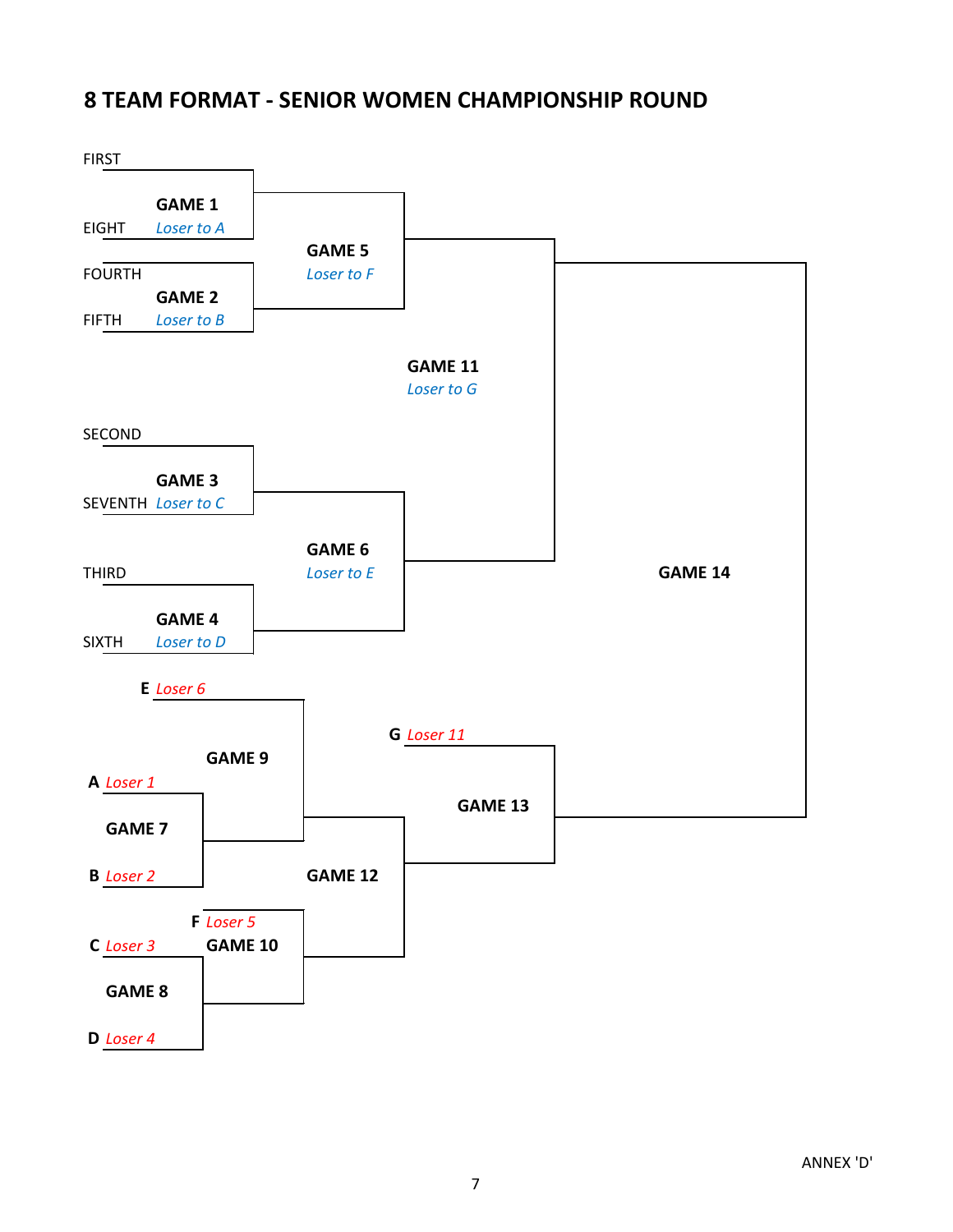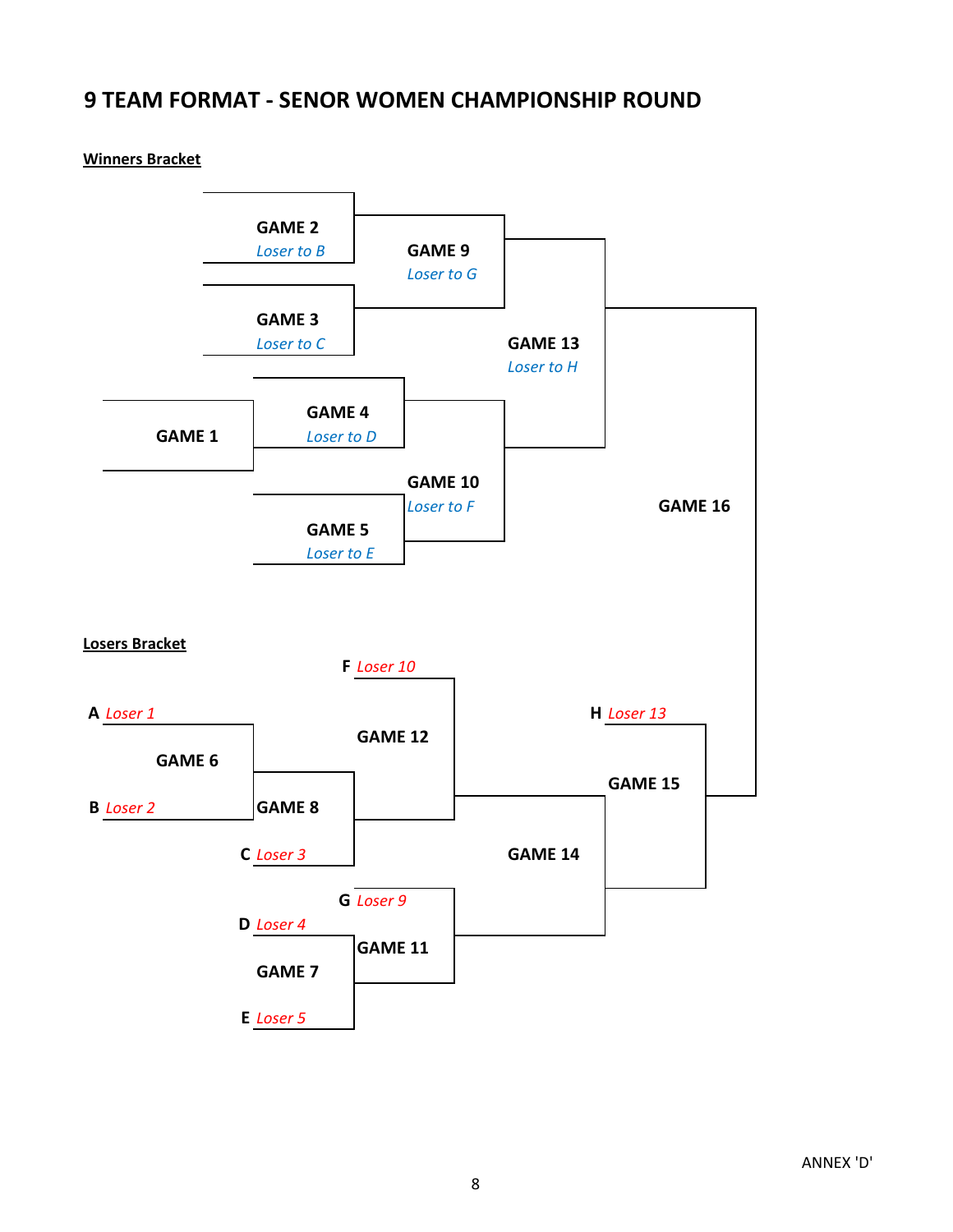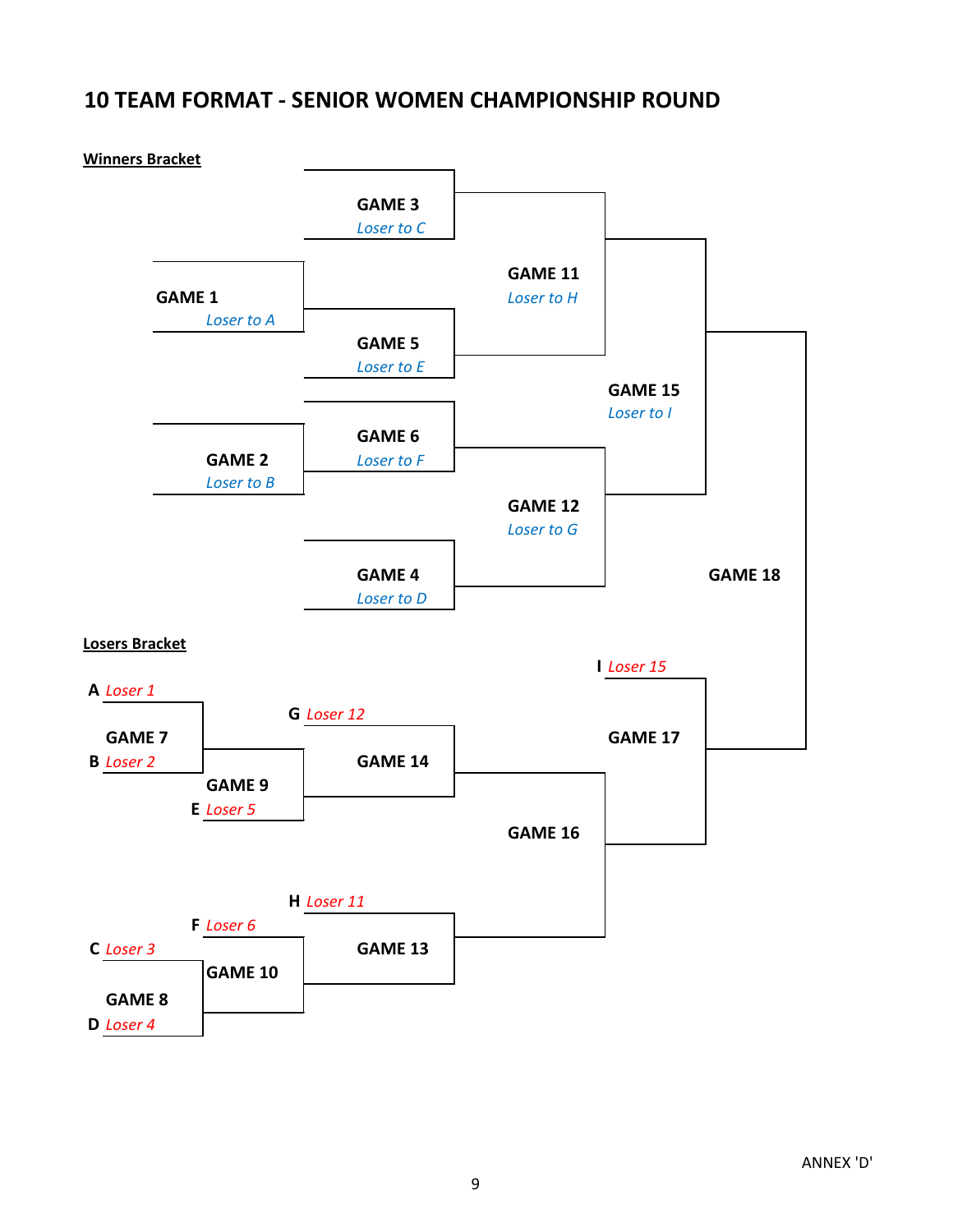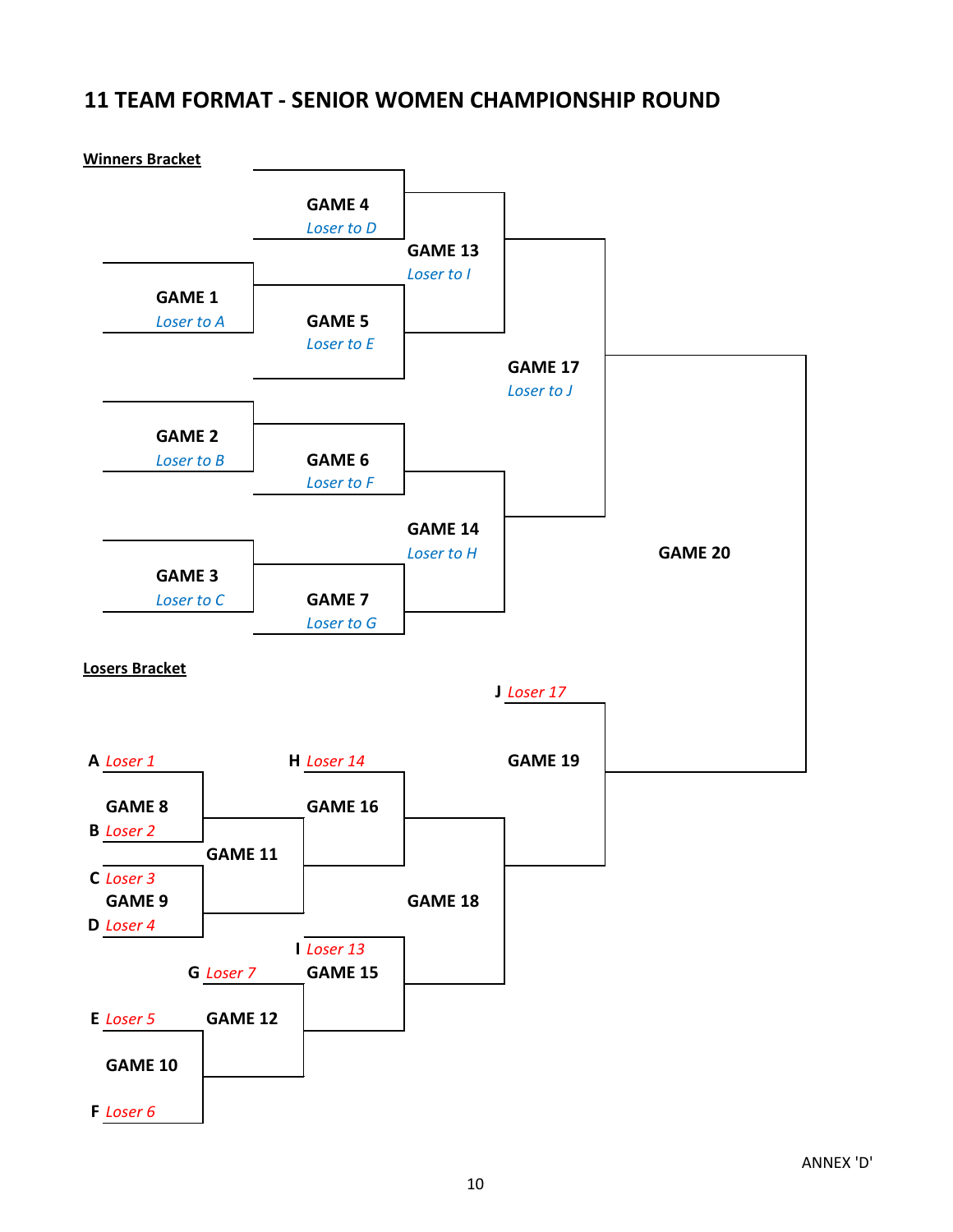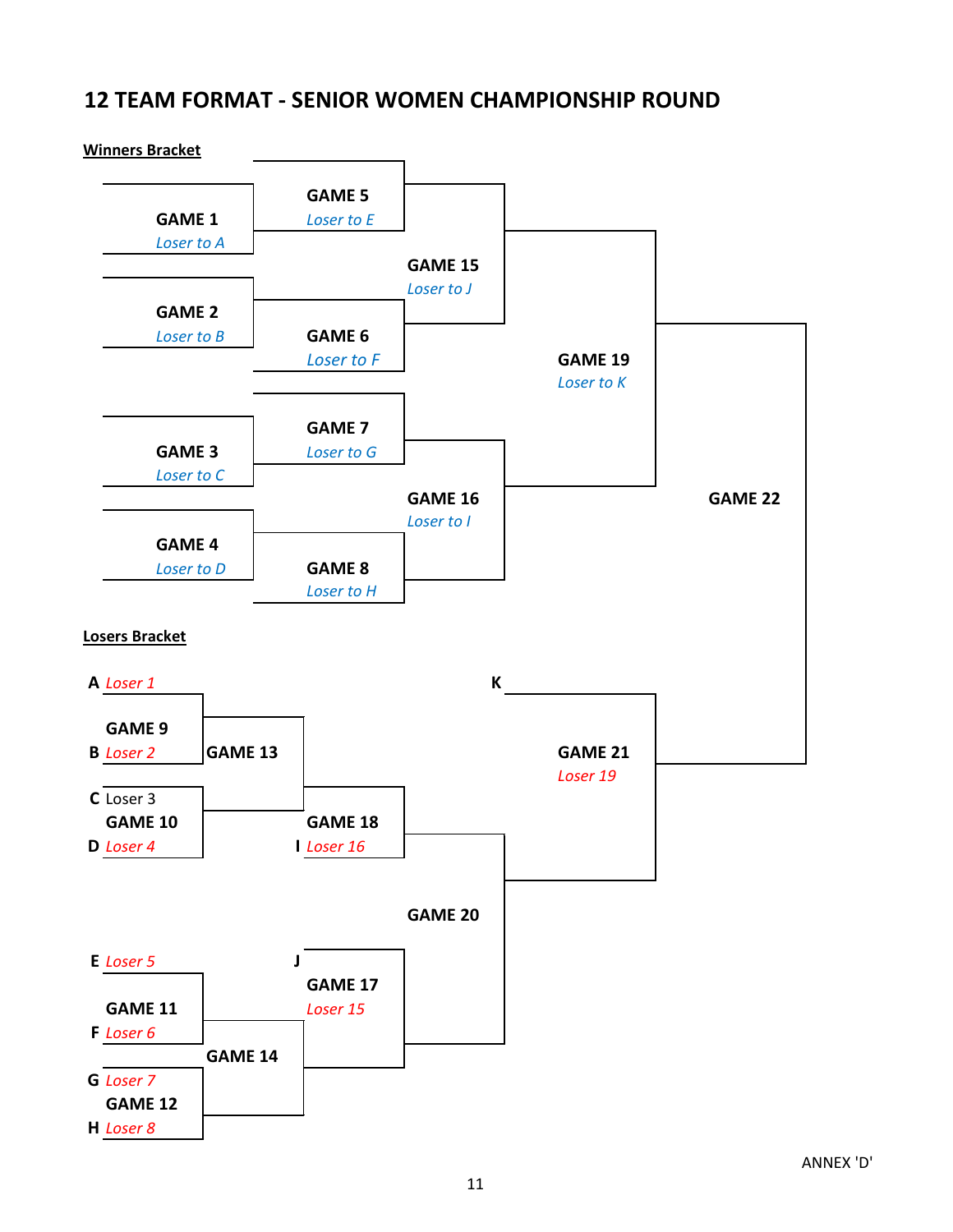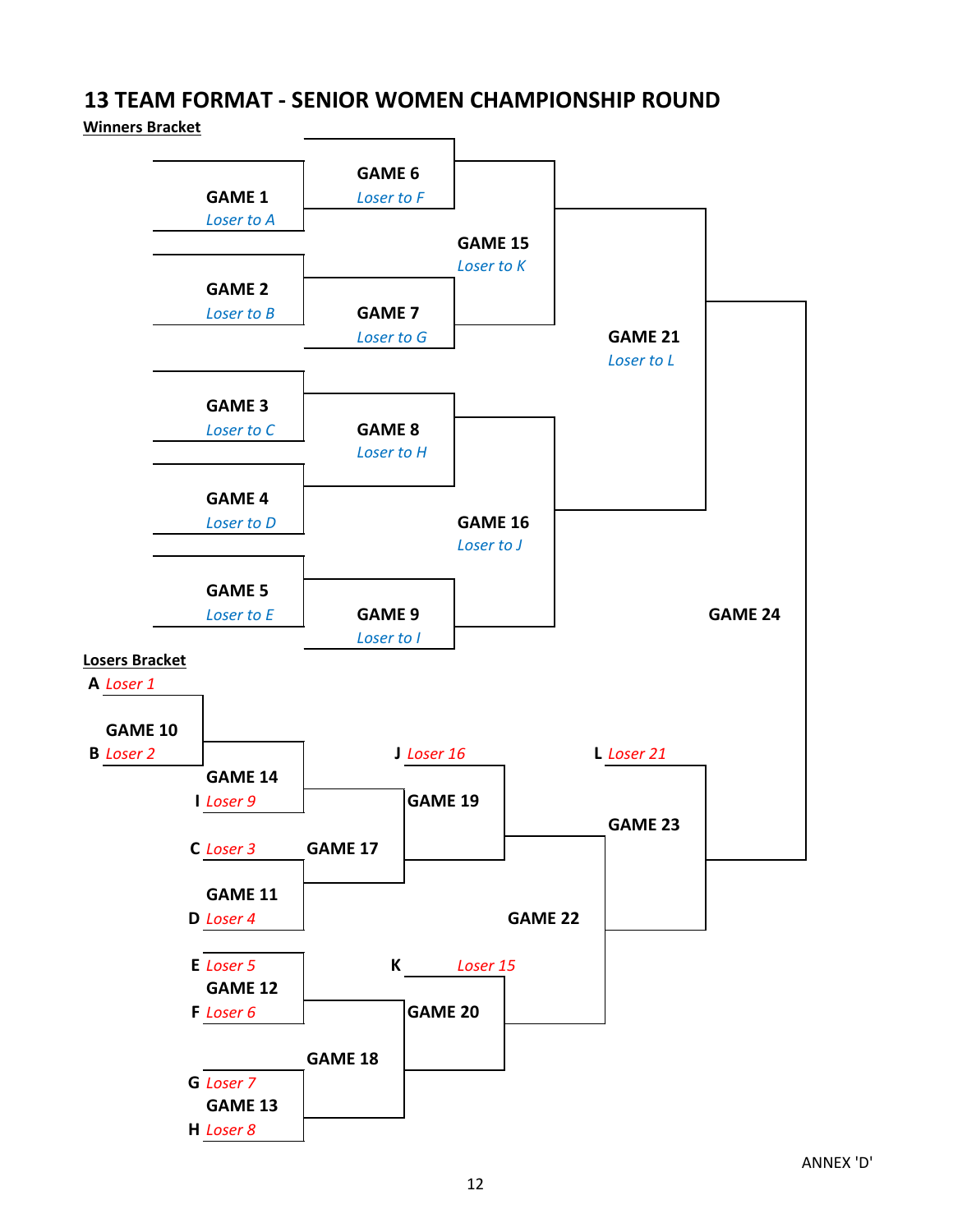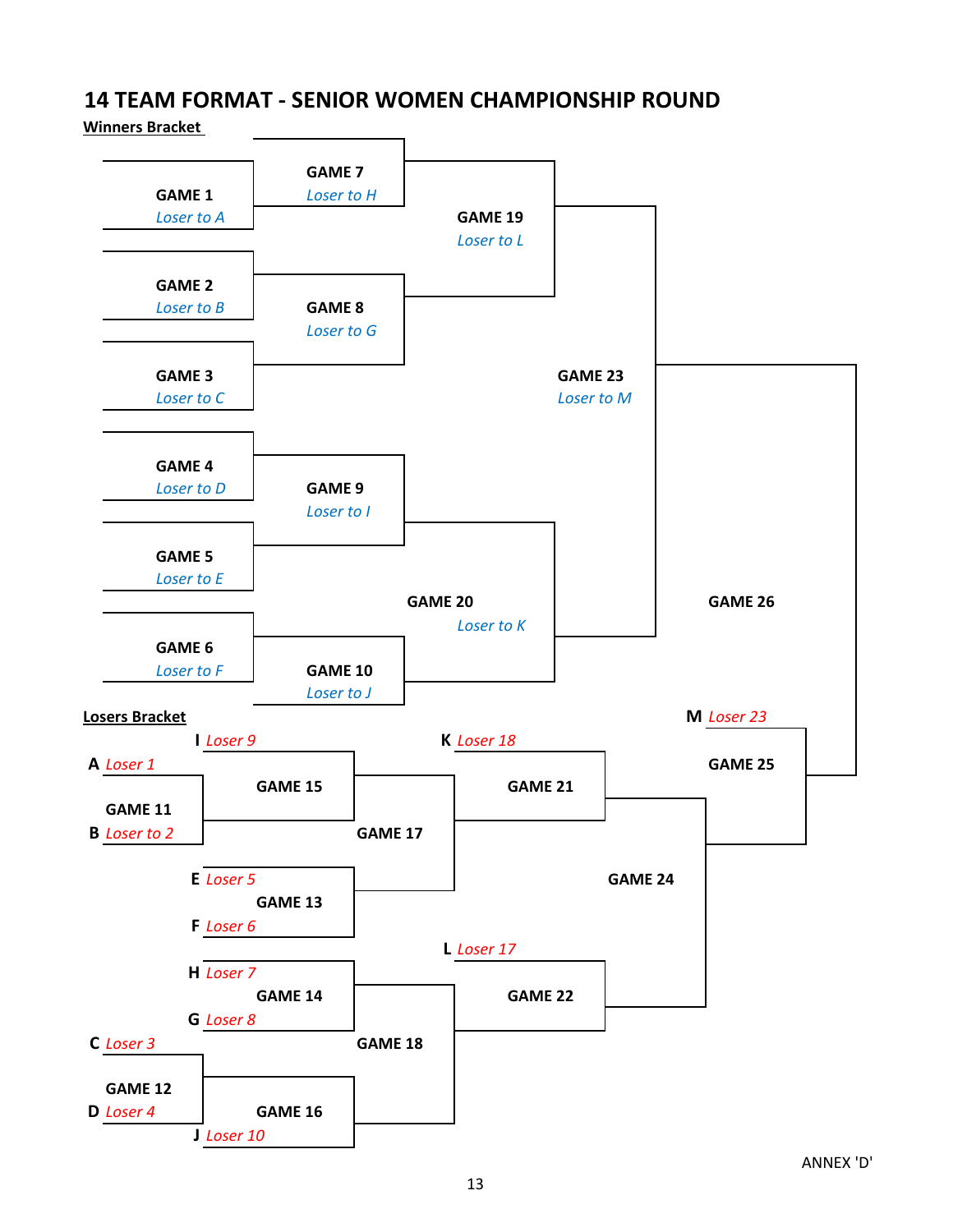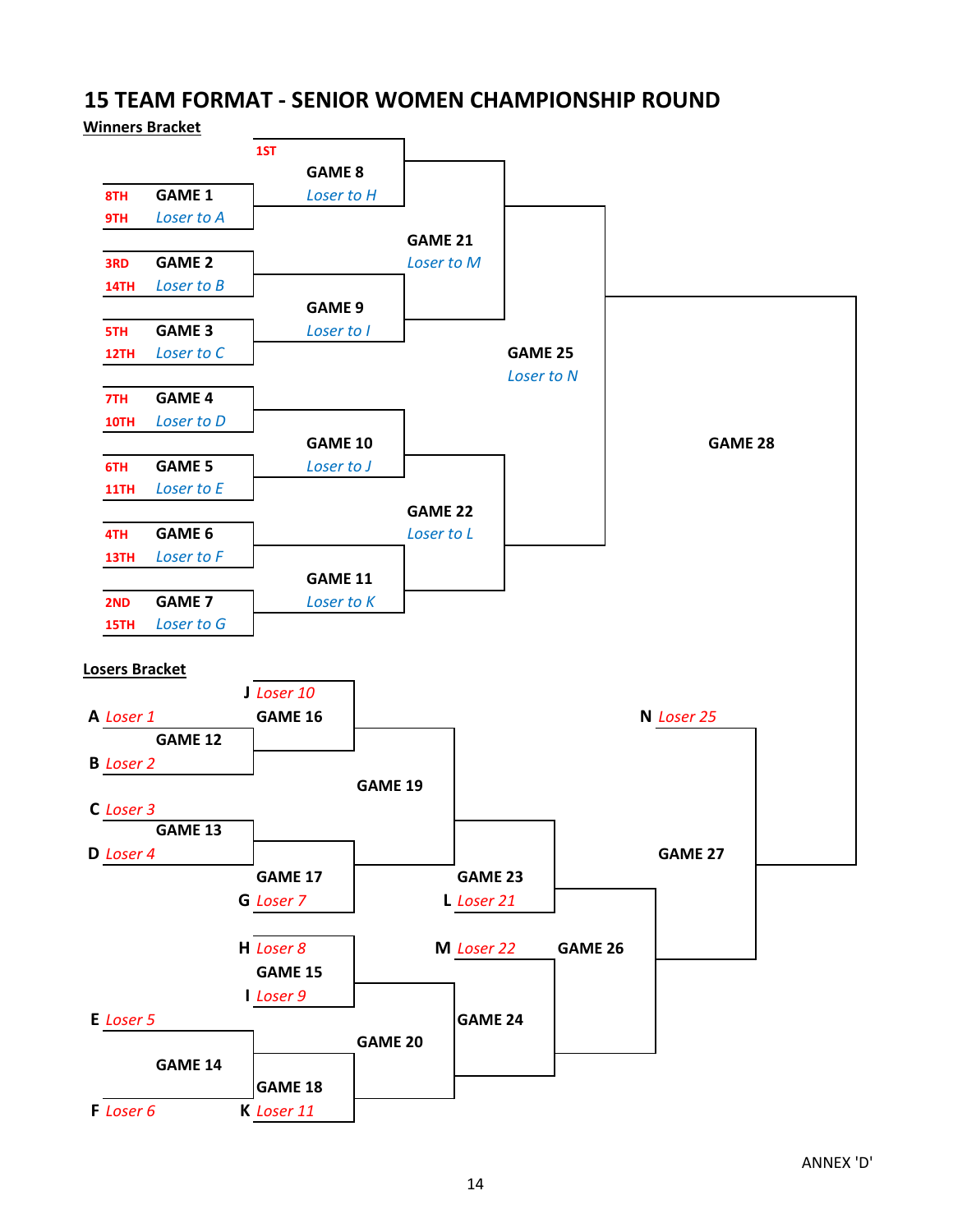